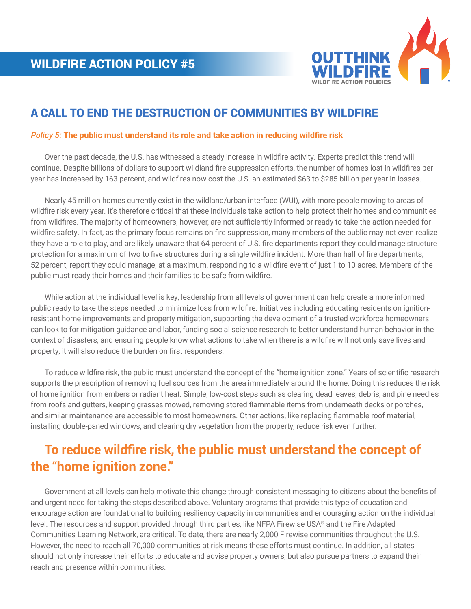

## A CALL TO END THE DESTRUCTION OF COMMUNITIES BY WILDFIRE

## *Policy 5:* **The public must understand its role and take action in reducing wildfire risk**

 Over the past decade, the U.S. has witnessed a steady increase in wildfire activity. Experts predict this trend will continue. Despite billions of dollars to support wildland fire suppression efforts, the number of homes lost in wildfires per year has increased by 163 percent, and wildfires now cost the U.S. an estimated \$63 to \$285 billion per year in losses.

 Nearly 45 million homes currently exist in the wildland/urban interface (WUI), with more people moving to areas of wildfire risk every year. It's therefore critical that these individuals take action to help protect their homes and communities from wildfires. The majority of homeowners, however, are not sufficiently informed or ready to take the action needed for wildfire safety. In fact, as the primary focus remains on fire suppression, many members of the public may not even realize they have a role to play, and are likely unaware that 64 percent of U.S. fire departments report they could manage structure protection for a maximum of two to five structures during a single wildfire incident. More than half of fire departments, 52 percent, report they could manage, at a maximum, responding to a wildfire event of just 1 to 10 acres. Members of the public must ready their homes and their families to be safe from wildfire.

 While action at the individual level is key, leadership from all levels of government can help create a more informed public ready to take the steps needed to minimize loss from wildfire. Initiatives including educating residents on ignitionresistant home improvements and property mitigation, supporting the development of a trusted workforce homeowners can look to for mitigation guidance and labor, funding social science research to better understand human behavior in the context of disasters, and ensuring people know what actions to take when there is a wildfire will not only save lives and property, it will also reduce the burden on first responders.

 To reduce wildfire risk, the public must understand the concept of the "home ignition zone." Years of scientific research supports the prescription of removing fuel sources from the area immediately around the home. Doing this reduces the risk of home ignition from embers or radiant heat. Simple, low-cost steps such as clearing dead leaves, debris, and pine needles from roofs and gutters, keeping grasses mowed, removing stored flammable items from underneath decks or porches, and similar maintenance are accessible to most homeowners. Other actions, like replacing flammable roof material, installing double-paned windows, and clearing dry vegetation from the property, reduce risk even further.

## **To reduce wildfire risk, the public must understand the concept of the "home ignition zone."**

 Government at all levels can help motivate this change through consistent messaging to citizens about the benefits of and urgent need for taking the steps described above. Voluntary programs that provide this type of education and encourage action are foundational to building resiliency capacity in communities and encouraging action on the individual level. The resources and support provided through third parties, like NFPA Firewise USA® and the Fire Adapted Communities Learning Network, are critical. To date, there are nearly 2,000 Firewise communities throughout the U.S. However, the need to reach all 70,000 communities at risk means these efforts must continue. In addition, all states should not only increase their efforts to educate and advise property owners, but also pursue partners to expand their reach and presence within communities.